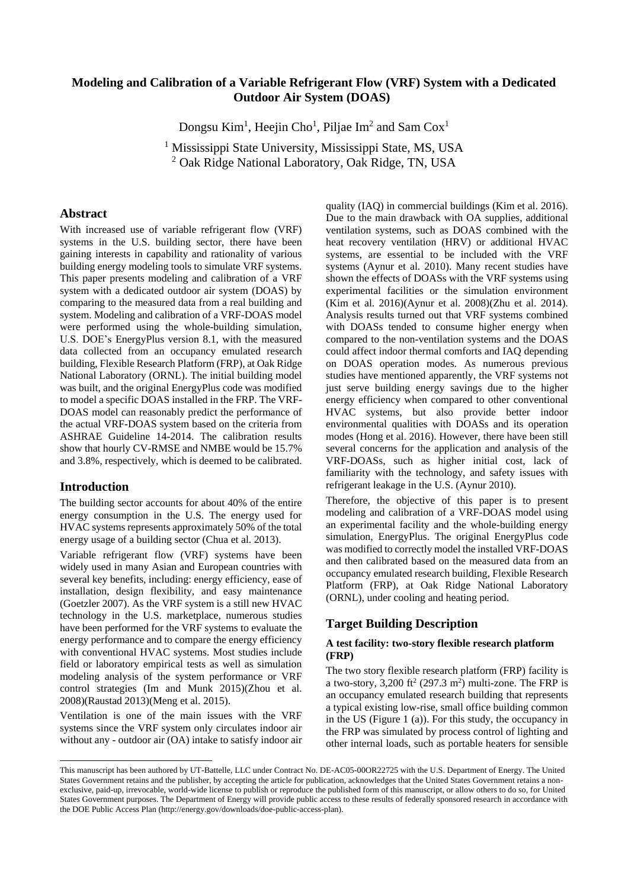# **Modeling and Calibration of a Variable Refrigerant Flow (VRF) System with a Dedicated Outdoor Air System (DOAS)<sup>1</sup>**

Dongsu Kim<sup>1</sup>, Heejin Cho<sup>1</sup>, Piljae Im<sup>2</sup> and Sam Cox<sup>1</sup>

<sup>1</sup> Mississippi State University, Mississippi State, MS, USA <sup>2</sup> Oak Ridge National Laboratory, Oak Ridge, TN, USA

## **Abstract**

With increased use of variable refrigerant flow (VRF) systems in the U.S. building sector, there have been gaining interests in capability and rationality of various building energy modeling tools to simulate VRF systems. This paper presents modeling and calibration of a VRF system with a dedicated outdoor air system (DOAS) by comparing to the measured data from a real building and system. Modeling and calibration of a VRF-DOAS model were performed using the whole-building simulation, U.S. DOE's EnergyPlus version 8.1, with the measured data collected from an occupancy emulated research building, Flexible Research Platform (FRP), at Oak Ridge National Laboratory (ORNL). The initial building model was built, and the original EnergyPlus code was modified to model a specific DOAS installed in the FRP. The VRF-DOAS model can reasonably predict the performance of the actual VRF-DOAS system based on the criteria from ASHRAE Guideline 14-2014. The calibration results show that hourly CV-RMSE and NMBE would be 15.7% and 3.8%, respectively, which is deemed to be calibrated.

### **Introduction**

 $\overline{a}$ 

The building sector accounts for about 40% of the entire energy consumption in the U.S. The energy used for HVAC systems represents approximately 50% of the total energy usage of a building sector (Chua et al. 2013).

Variable refrigerant flow (VRF) systems have been widely used in many Asian and European countries with several key benefits, including: energy efficiency, ease of installation, design flexibility, and easy maintenance (Goetzler 2007). As the VRF system is a still new HVAC technology in the U.S. marketplace, numerous studies have been performed for the VRF systems to evaluate the energy performance and to compare the energy efficiency with conventional HVAC systems. Most studies include field or laboratory empirical tests as well as simulation modeling analysis of the system performance or VRF control strategies (Im and Munk 2015)(Zhou et al. 2008)(Raustad 2013)(Meng et al. 2015).

Ventilation is one of the main issues with the VRF systems since the VRF system only circulates indoor air without any - outdoor air (OA) intake to satisfy indoor air

quality (IAQ) in commercial buildings (Kim et al. 2016). Due to the main drawback with OA supplies, additional ventilation systems, such as DOAS combined with the heat recovery ventilation (HRV) or additional HVAC systems, are essential to be included with the VRF systems (Aynur et al. 2010). Many recent studies have shown the effects of DOASs with the VRF systems using experimental facilities or the simulation environment (Kim et al. 2016)(Aynur et al. 2008)(Zhu et al. 2014). Analysis results turned out that VRF systems combined with DOASs tended to consume higher energy when compared to the non-ventilation systems and the DOAS could affect indoor thermal comforts and IAQ depending on DOAS operation modes. As numerous previous studies have mentioned apparently, the VRF systems not just serve building energy savings due to the higher energy efficiency when compared to other conventional HVAC systems, but also provide better indoor environmental qualities with DOASs and its operation modes (Hong et al. 2016). However, there have been still several concerns for the application and analysis of the VRF-DOASs, such as higher initial cost, lack of familiarity with the technology, and safety issues with refrigerant leakage in the U.S. (Aynur 2010).

Therefore, the objective of this paper is to present modeling and calibration of a VRF-DOAS model using an experimental facility and the whole-building energy simulation, EnergyPlus. The original EnergyPlus code was modified to correctly model the installed VRF-DOAS and then calibrated based on the measured data from an occupancy emulated research building, Flexible Research Platform (FRP), at Oak Ridge National Laboratory (ORNL), under cooling and heating period.

# **Target Building Description**

### **A test facility: two-story flexible research platform (FRP)**

The two story flexible research platform (FRP) facility is a two-story,  $3,200$  ft<sup>2</sup> (297.3 m<sup>2</sup>) multi-zone. The FRP is an occupancy emulated research building that represents a typical existing low-rise, small office building common in the US [\(Figure 1](#page-1-0) (a)). For this study, the occupancy in the FRP was simulated by process control of lighting and other internal loads, such as portable heaters for sensible

This manuscript has been authored by UT-Battelle, LLC under Contract No. DE-AC05-00OR22725 with the U.S. Department of Energy. The United States Government retains and the publisher, by accepting the article for publication, acknowledges that the United States Government retains a nonexclusive, paid-up, irrevocable, world-wide license to publish or reproduce the published form of this manuscript, or allow others to do so, for United States Government purposes. The Department of Energy will provide public access to these results of federally sponsored research in accordance with the DOE Public Access Plan (http://energy.gov/downloads/doe-public-access-plan).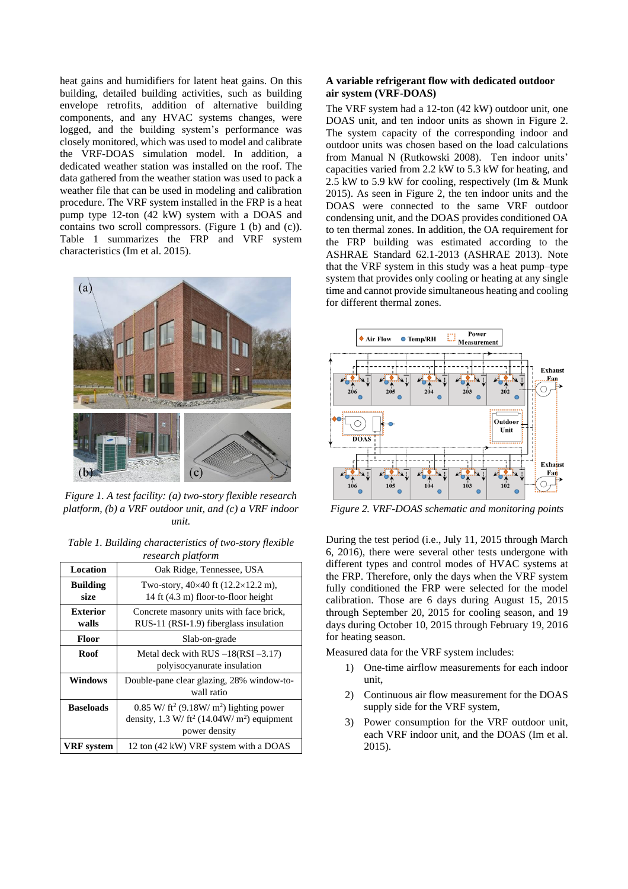heat gains and humidifiers for latent heat gains. On this building, detailed building activities, such as building envelope retrofits, addition of alternative building components, and any HVAC systems changes, were logged, and the building system's performance was closely monitored, which was used to model and calibrate the VRF-DOAS simulation model. In addition, a dedicated weather station was installed on the roof. The data gathered from the weather station was used to pack a weather file that can be used in modeling and calibration procedure. The VRF system installed in the FRP is a heat pump type 12-ton (42 kW) system with a DOAS and contains two scroll compressors. [\(Figure 1](#page-1-0) (b) and (c)). Table 1 summarizes the FRP and VRF system characteristics (Im et al. 2015).



<span id="page-1-0"></span>*Figure 1. A test facility: (a) two-story flexible research platform, (b) a VRF outdoor unit, and (c) a VRF indoor unit.*

| Table 1. Building characteristics of two-story flexible |
|---------------------------------------------------------|
| research platform                                       |

| <b>Location</b>          | Oak Ridge, Tennessee, USA                                                                                                                      |  |  |
|--------------------------|------------------------------------------------------------------------------------------------------------------------------------------------|--|--|
| <b>Building</b><br>size  | Two-story, $40 \times 40$ ft $(12.2 \times 12.2$ m),<br>14 ft (4.3 m) floor-to-floor height                                                    |  |  |
| <b>Exterior</b><br>walls | Concrete masonry units with face brick,<br>RUS-11 (RSI-1.9) fiberglass insulation                                                              |  |  |
| Floor                    | Slab-on-grade                                                                                                                                  |  |  |
| <b>Roof</b>              | Metal deck with $RUS - 18(RSI - 3.17)$<br>polyisocyanurate insulation                                                                          |  |  |
| <b>Windows</b>           | Double-pane clear glazing, 28% window-to-<br>wall ratio                                                                                        |  |  |
| <b>Baseloads</b>         | $0.85$ W/ ft <sup>2</sup> (9.18W/ m <sup>2</sup> ) lighting power<br>density, $1.3 W/tt^2$ (14.04W/m <sup>2</sup> ) equipment<br>power density |  |  |
| <b>VRF</b> system        | 12 ton (42 kW) VRF system with a DOAS                                                                                                          |  |  |

### **A variable refrigerant flow with dedicated outdoor air system (VRF-DOAS)**

The VRF system had a 12-ton (42 kW) outdoor unit, one DOAS unit, and ten indoor units as shown in [Figure 2.](#page-1-1) The system capacity of the corresponding indoor and outdoor units was chosen based on the load calculations from Manual N (Rutkowski 2008). Ten indoor units' capacities varied from 2.2 kW to 5.3 kW for heating, and 2.5 kW to 5.9 kW for cooling, respectively (Im & Munk 2015). As seen in [Figure 2,](#page-1-1) the ten indoor units and the DOAS were connected to the same VRF outdoor condensing unit, and the DOAS provides conditioned OA to ten thermal zones. In addition, the OA requirement for the FRP building was estimated according to the ASHRAE Standard 62.1-2013 (ASHRAE 2013). Note that the VRF system in this study was a heat pump–type system that provides only cooling or heating at any single time and cannot provide simultaneous heating and cooling for different thermal zones.



<span id="page-1-1"></span>*Figure 2. VRF-DOAS schematic and monitoring points*

During the test period (i.e., July 11, 2015 through March 6, 2016), there were several other tests undergone with different types and control modes of HVAC systems at the FRP. Therefore, only the days when the VRF system fully conditioned the FRP were selected for the model calibration. Those are 6 days during August 15, 2015 through September 20, 2015 for cooling season, and 19 days during October 10, 2015 through February 19, 2016 for heating season.

Measured data for the VRF system includes:

- 1) One-time airflow measurements for each indoor unit,
- 2) Continuous air flow measurement for the DOAS supply side for the VRF system,
- 3) Power consumption for the VRF outdoor unit, each VRF indoor unit, and the DOAS (Im et al. 2015).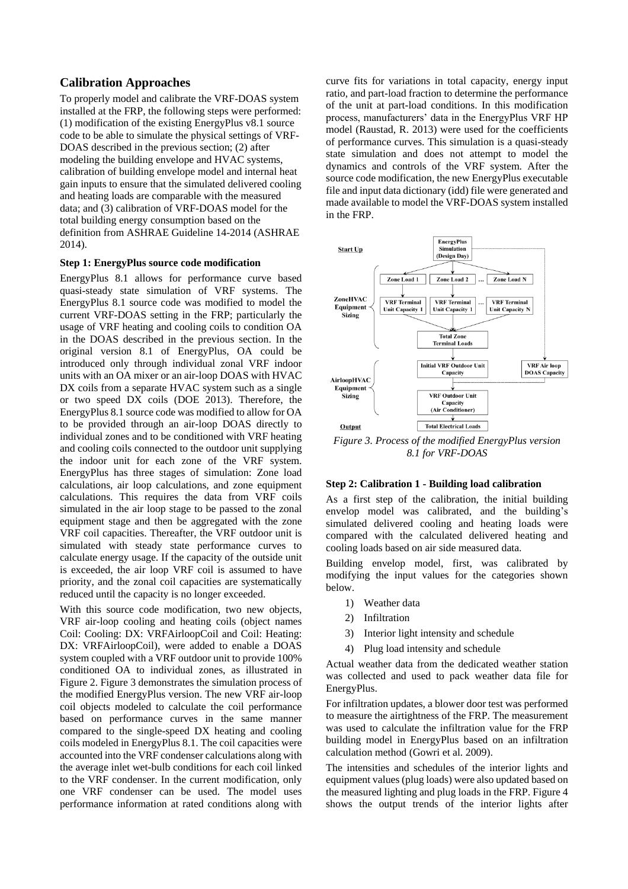## **Calibration Approaches**

To properly model and calibrate the VRF-DOAS system installed at the FRP, the following steps were performed: (1) modification of the existing EnergyPlus v8.1 source code to be able to simulate the physical settings of VRF-DOAS described in the previous section; (2) after modeling the building envelope and HVAC systems, calibration of building envelope model and internal heat gain inputs to ensure that the simulated delivered cooling and heating loads are comparable with the measured data; and (3) calibration of VRF-DOAS model for the total building energy consumption based on the definition from ASHRAE Guideline 14-2014 (ASHRAE 2014).

#### **Step 1: EnergyPlus source code modification**

EnergyPlus 8.1 allows for performance curve based quasi-steady state simulation of VRF systems. The EnergyPlus 8.1 source code was modified to model the current VRF-DOAS setting in the FRP; particularly the usage of VRF heating and cooling coils to condition OA in the DOAS described in the previous section. In the original version 8.1 of EnergyPlus, OA could be introduced only through individual zonal VRF indoor units with an OA mixer or an air-loop DOAS with HVAC DX coils from a separate HVAC system such as a single or two speed DX coils (DOE 2013). Therefore, the EnergyPlus 8.1 source code was modified to allow for OA to be provided through an air-loop DOAS directly to individual zones and to be conditioned with VRF heating and cooling coils connected to the outdoor unit supplying the indoor unit for each zone of the VRF system. EnergyPlus has three stages of simulation: Zone load calculations, air loop calculations, and zone equipment calculations. This requires the data from VRF coils simulated in the air loop stage to be passed to the zonal equipment stage and then be aggregated with the zone VRF coil capacities. Thereafter, the VRF outdoor unit is simulated with steady state performance curves to calculate energy usage. If the capacity of the outside unit is exceeded, the air loop VRF coil is assumed to have priority, and the zonal coil capacities are systematically reduced until the capacity is no longer exceeded.

With this source code modification, two new objects, VRF air-loop cooling and heating coils (object names Coil: Cooling: DX: VRFAirloopCoil and Coil: Heating: DX: VRFAirloopCoil), were added to enable a DOAS system coupled with a VRF outdoor unit to provide 100% conditioned OA to individual zones, as illustrated in [Figure 2.](#page-1-1) [Figure 3](#page-2-0) demonstrates the simulation process of the modified EnergyPlus version. The new VRF air-loop coil objects modeled to calculate the coil performance based on performance curves in the same manner compared to the single-speed DX heating and cooling coils modeled in EnergyPlus 8.1. The coil capacities were accounted into the VRF condenser calculations along with the average inlet wet-bulb conditions for each coil linked to the VRF condenser. In the current modification, only one VRF condenser can be used. The model uses performance information at rated conditions along with

curve fits for variations in total capacity, energy input ratio, and part-load fraction to determine the performance of the unit at part-load conditions. In this modification process, manufacturers' data in the EnergyPlus VRF HP model (Raustad, R. 2013) were used for the coefficients of performance curves. This simulation is a quasi-steady state simulation and does not attempt to model the dynamics and controls of the VRF system. After the source code modification, the new EnergyPlus executable file and input data dictionary (idd) file were generated and made available to model the VRF-DOAS system installed in the FRP.



<span id="page-2-0"></span>*Figure 3. Process of the modified EnergyPlus version 8.1 for VRF-DOAS*

#### **Step 2: Calibration 1 - Building load calibration**

As a first step of the calibration, the initial building envelop model was calibrated, and the building's simulated delivered cooling and heating loads were compared with the calculated delivered heating and cooling loads based on air side measured data.

Building envelop model, first, was calibrated by modifying the input values for the categories shown below.

- 1) Weather data
- 2) Infiltration
- 3) Interior light intensity and schedule
- 4) Plug load intensity and schedule

Actual weather data from the dedicated weather station was collected and used to pack weather data file for EnergyPlus.

For infiltration updates, a blower door test was performed to measure the airtightness of the FRP. The measurement was used to calculate the infiltration value for the FRP building model in EnergyPlus based on an infiltration calculation method (Gowri et al. 2009).

The intensities and schedules of the interior lights and equipment values (plug loads) were also updated based on the measured lighting and plug loads in the FRP[. Figure 4](#page-3-0) shows the output trends of the interior lights after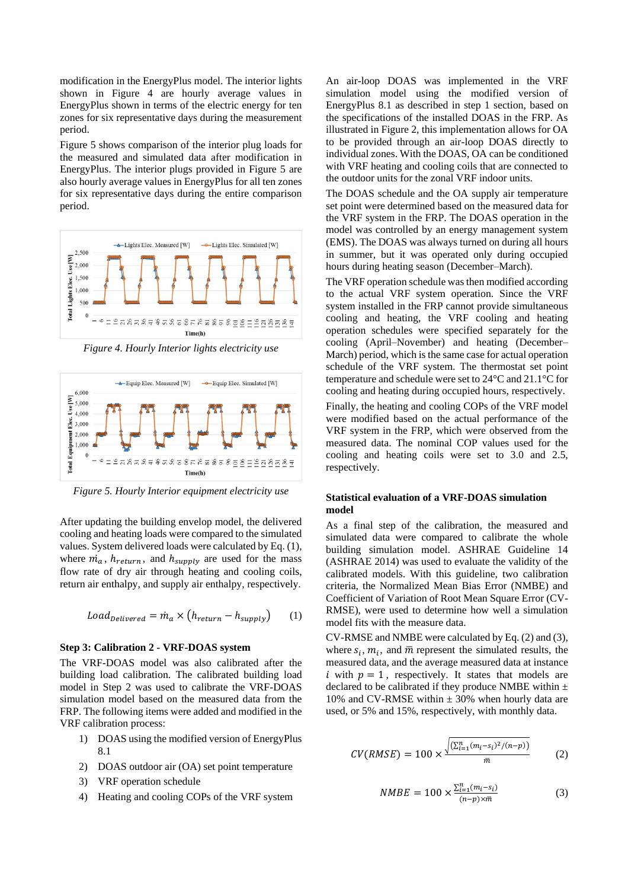modification in the EnergyPlus model. The interior lights shown in [Figure 4](#page-3-0) are hourly average values in EnergyPlus shown in terms of the electric energy for ten zones for six representative days during the measurement period.

[Figure 5](#page-3-1) shows comparison of the interior plug loads for the measured and simulated data after modification in EnergyPlus. The interior plugs provided in [Figure 5](#page-3-1) are also hourly average values in EnergyPlus for all ten zones for six representative days during the entire comparison period.



<span id="page-3-0"></span>*Figure 4. Hourly Interior lights electricity use*



<span id="page-3-1"></span>*Figure 5. Hourly Interior equipment electricity use*

After updating the building envelop model, the delivered cooling and heating loads were compared to the simulated values. System delivered loads were calculated by Eq. (1), where  $\dot{m}_a$ ,  $h_{return}$ , and  $h_{supply}$  are used for the mass flow rate of dry air through heating and cooling coils, return air enthalpy, and supply air enthalpy, respectively.

$$
Load_{Delivered} = \dot{m}_a \times (h_{return} - h_{supply}) \qquad (1)
$$

#### **Step 3: Calibration 2 - VRF-DOAS system**

The VRF-DOAS model was also calibrated after the building load calibration. The calibrated building load model in Step 2 was used to calibrate the VRF-DOAS simulation model based on the measured data from the FRP. The following items were added and modified in the VRF calibration process:

- 1) DOAS using the modified version of EnergyPlus 8.1
- 2) DOAS outdoor air (OA) set point temperature
- 3) VRF operation schedule
- 4) Heating and cooling COPs of the VRF system

An air-loop DOAS was implemented in the VRF simulation model using the modified version of EnergyPlus 8.1 as described in step 1 section, based on the specifications of the installed DOAS in the FRP. As illustrated in [Figure 2,](#page-1-1) this implementation allows for OA to be provided through an air-loop DOAS directly to individual zones. With the DOAS, OA can be conditioned with VRF heating and cooling coils that are connected to the outdoor units for the zonal VRF indoor units.

The DOAS schedule and the OA supply air temperature set point were determined based on the measured data for the VRF system in the FRP. The DOAS operation in the model was controlled by an energy management system (EMS). The DOAS was always turned on during all hours in summer, but it was operated only during occupied hours during heating season (December–March).

The VRF operation schedule was then modified according to the actual VRF system operation. Since the VRF system installed in the FRP cannot provide simultaneous cooling and heating, the VRF cooling and heating operation schedules were specified separately for the cooling (April–November) and heating (December– March) period, which is the same case for actual operation schedule of the VRF system. The thermostat set point temperature and schedule were set to 24°C and 21.1°C for cooling and heating during occupied hours, respectively.

Finally, the heating and cooling COPs of the VRF model were modified based on the actual performance of the VRF system in the FRP, which were observed from the measured data. The nominal COP values used for the cooling and heating coils were set to 3.0 and 2.5, respectively.

#### **Statistical evaluation of a VRF-DOAS simulation model**

As a final step of the calibration, the measured and simulated data were compared to calibrate the whole building simulation model. ASHRAE Guideline 14 (ASHRAE 2014) was used to evaluate the validity of the calibrated models. With this guideline, two calibration criteria, the Normalized Mean Bias Error (NMBE) and Coefficient of Variation of Root Mean Square Error (CV-RMSE), were used to determine how well a simulation model fits with the measure data.

CV-RMSE and NMBE were calculated by Eq. (2) and (3), where  $s_i$ ,  $m_i$ , and  $\overline{m}$  represent the simulated results, the measured data, and the average measured data at instance i with  $p = 1$ , respectively. It states that models are declared to be calibrated if they produce NMBE within  $\pm$ 10% and CV-RMSE within  $\pm$  30% when hourly data are used, or 5% and 15%, respectively, with monthly data.

$$
CV(RMSE) = 100 \times \frac{\sqrt{(\Sigma_{l=1}^{n}(m_{l}-s_{l})^{2}/(n-p))}}{\bar{m}} \tag{2}
$$

$$
NMBE = 100 \times \frac{\sum_{i=1}^{n} (m_i - s_i)}{(n-p) \times \bar{m}}
$$
 (3)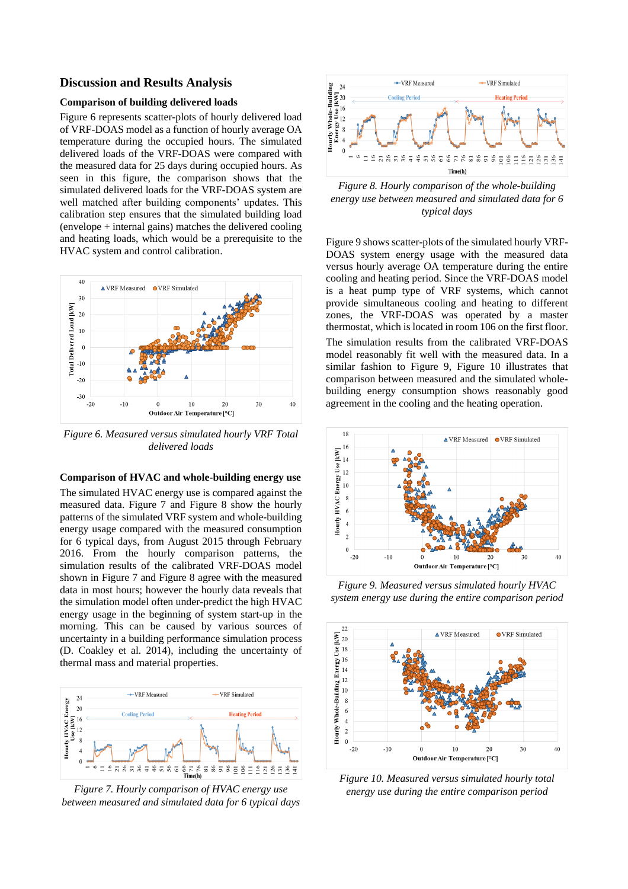## **Discussion and Results Analysis**

### **Comparison of building delivered loads**

[Figure 6](#page-4-0) represents scatter-plots of hourly delivered load of VRF-DOAS model as a function of hourly average OA temperature during the occupied hours. The simulated delivered loads of the VRF-DOAS were compared with the measured data for 25 days during occupied hours. As seen in this figure, the comparison shows that the simulated delivered loads for the VRF-DOAS system are well matched after building components' updates. This calibration step ensures that the simulated building load (envelope + internal gains) matches the delivered cooling and heating loads, which would be a prerequisite to the HVAC system and control calibration.



<span id="page-4-0"></span>*Figure 6. Measured versus simulated hourly VRF Total delivered loads*

### **Comparison of HVAC and whole-building energy use**

The simulated HVAC energy use is compared against the measured data. [Figure 7](#page-4-1) and [Figure 8](#page-4-2) show the hourly patterns of the simulated VRF system and whole-building energy usage compared with the measured consumption for 6 typical days, from August 2015 through February 2016. From the hourly comparison patterns, the simulation results of the calibrated VRF-DOAS model shown in [Figure 7](#page-4-1) and [Figure 8](#page-4-2) agree with the measured data in most hours; however the hourly data reveals that the simulation model often under-predict the high HVAC energy usage in the beginning of system start-up in the morning. This can be caused by various sources of uncertainty in a building performance simulation process (D. Coakley et al. 2014), including the uncertainty of thermal mass and material properties.



<span id="page-4-1"></span>*Figure 7. Hourly comparison of HVAC energy use between measured and simulated data for 6 typical days*



<span id="page-4-2"></span>*Figure 8. Hourly comparison of the whole-building energy use between measured and simulated data for 6 typical days*

[Figure 9](#page-4-3) shows scatter-plots of the simulated hourly VRF-DOAS system energy usage with the measured data versus hourly average OA temperature during the entire cooling and heating period. Since the VRF-DOAS model is a heat pump type of VRF systems, which cannot provide simultaneous cooling and heating to different zones, the VRF-DOAS was operated by a master thermostat, which is located in room 106 on the first floor. The simulation results from the calibrated VRF-DOAS model reasonably fit well with the measured data. In a similar fashion to [Figure 9,](#page-4-3) [Figure 10](#page-4-4) illustrates that comparison between measured and the simulated wholebuilding energy consumption shows reasonably good agreement in the cooling and the heating operation.



<span id="page-4-3"></span>*Figure 9. Measured versus simulated hourly HVAC system energy use during the entire comparison period*



<span id="page-4-4"></span>*Figure 10. Measured versus simulated hourly total energy use during the entire comparison period*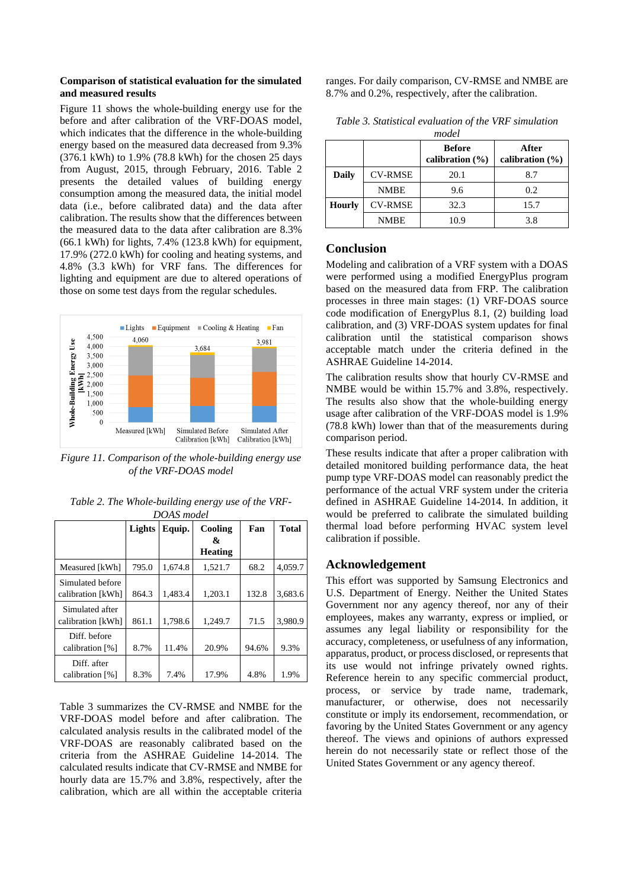#### **Comparison of statistical evaluation for the simulated and measured results**

[Figure 11](#page-5-0) shows the whole-building energy use for the before and after calibration of the VRF-DOAS model, which indicates that the difference in the whole-building energy based on the measured data decreased from 9.3% (376.1 kWh) to 1.9% (78.8 kWh) for the chosen 25 days from August, 2015, through February, 2016. [Table 2](#page-5-1) presents the detailed values of building energy consumption among the measured data, the initial model data (i.e., before calibrated data) and the data after calibration. The results show that the differences between the measured data to the data after calibration are 8.3% (66.1 kWh) for lights, 7.4% (123.8 kWh) for equipment, 17.9% (272.0 kWh) for cooling and heating systems, and 4.8% (3.3 kWh) for VRF fans. The differences for lighting and equipment are due to altered operations of those on some test days from the regular schedules.



<span id="page-5-0"></span>*Figure 11. Comparison of the whole-building energy use of the VRF-DOAS model*

<span id="page-5-1"></span>

|  | Table 2. The Whole-building energy use of the VRF- |  |  |
|--|----------------------------------------------------|--|--|
|  | DOAS model                                         |  |  |

|                   | Lights | Equip.  | Cooling        | Fan   | <b>Total</b> |
|-------------------|--------|---------|----------------|-------|--------------|
|                   |        |         | &              |       |              |
|                   |        |         | <b>Heating</b> |       |              |
| Measured [kWh]    | 795.0  | 1.674.8 | 1,521.7        | 68.2  | 4,059.7      |
| Simulated before  |        |         |                |       |              |
| calibration [kWh] | 864.3  | 1.483.4 | 1,203.1        | 132.8 | 3,683.6      |
| Simulated after   |        |         |                |       |              |
| calibration [kWh] | 861.1  | 1,798.6 | 1.249.7        | 71.5  | 3,980.9      |
| Diff. before      |        |         |                |       |              |
| calibration [%]   | 8.7%   | 11.4%   | 20.9%          | 94.6% | 9.3%         |
| Diff. after       |        |         |                |       |              |
| calibration [%]   | 8.3%   | 7.4%    | 17.9%          | 4.8%  | 1.9%         |

[Table 3](#page-5-2) summarizes the CV-RMSE and NMBE for the VRF-DOAS model before and after calibration. The calculated analysis results in the calibrated model of the VRF-DOAS are reasonably calibrated based on the criteria from the ASHRAE Guideline 14-2014. The calculated results indicate that CV-RMSE and NMBE for hourly data are 15.7% and 3.8%, respectively, after the calibration, which are all within the acceptable criteria

ranges. For daily comparison, CV-RMSE and NMBE are 8.7% and 0.2%, respectively, after the calibration.

| model         |                |                                      |                              |
|---------------|----------------|--------------------------------------|------------------------------|
|               |                | <b>Before</b><br>calibration $(\% )$ | After<br>calibration $(\% )$ |
| Daily         | <b>CV-RMSE</b> | 20.1                                 | 8.7                          |
|               | <b>NMBE</b>    | 9.6                                  | 0.2                          |
| <b>Hourly</b> | <b>CV-RMSE</b> | 32.3                                 | 15.7                         |
|               | <b>NMBE</b>    | 10.9                                 | 3.8                          |

<span id="page-5-2"></span>*Table 3. Statistical evaluation of the VRF simulation* 

# **Conclusion**

Modeling and calibration of a VRF system with a DOAS were performed using a modified EnergyPlus program based on the measured data from FRP. The calibration processes in three main stages: (1) VRF-DOAS source code modification of EnergyPlus 8.1, (2) building load calibration, and (3) VRF-DOAS system updates for final calibration until the statistical comparison shows acceptable match under the criteria defined in the ASHRAE Guideline 14-2014.

The calibration results show that hourly CV-RMSE and NMBE would be within 15.7% and 3.8%, respectively. The results also show that the whole-building energy usage after calibration of the VRF-DOAS model is 1.9% (78.8 kWh) lower than that of the measurements during comparison period.

These results indicate that after a proper calibration with detailed monitored building performance data, the heat pump type VRF-DOAS model can reasonably predict the performance of the actual VRF system under the criteria defined in ASHRAE Guideline 14-2014. In addition, it would be preferred to calibrate the simulated building thermal load before performing HVAC system level calibration if possible.

# **Acknowledgement**

This effort was supported by Samsung Electronics and U.S. Department of Energy. Neither the United States Government nor any agency thereof, nor any of their employees, makes any warranty, express or implied, or assumes any legal liability or responsibility for the accuracy, completeness, or usefulness of any information, apparatus, product, or process disclosed, or represents that its use would not infringe privately owned rights. Reference herein to any specific commercial product, process, or service by trade name, trademark, manufacturer, or otherwise, does not necessarily constitute or imply its endorsement, recommendation, or favoring by the United States Government or any agency thereof. The views and opinions of authors expressed herein do not necessarily state or reflect those of the United States Government or any agency thereof.